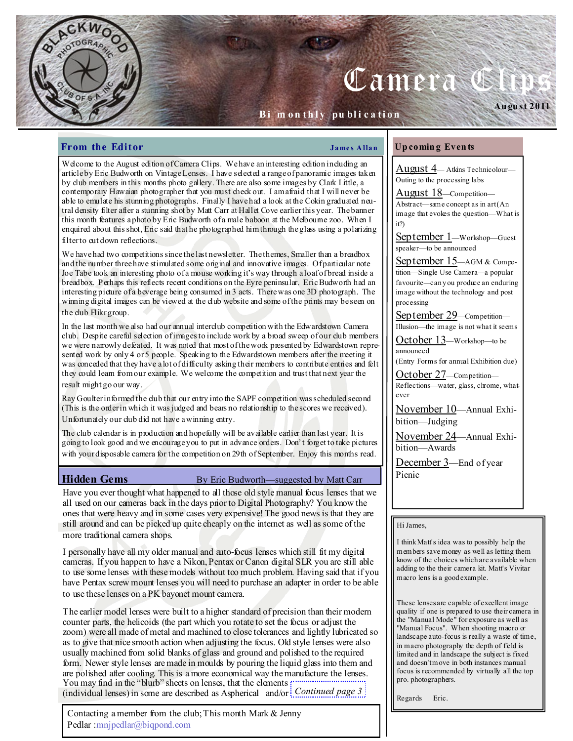# Camera C

# Bi m on thly publication

# **From the Editor**  $\qquad \qquad \qquad$  James Allan

Welcome to the August edition of Camera Clips. We have an interesting edition including an article by Eric Budworth on Vintage Lenses. I have selected a range of panoramic images taken by club members in this months photo gallery. There are also some images by Clark Little, a contemporary Hawaian photographer that you must check out. I am afraid that I will never be able to emulate his stunning photographs. Finally I have had a look at the Cokin graduated neutral density filter after a stunning shot by Matt Carr at Hallet Cove earlier this year. The banner this month features a photo by Eric Budworth of a male baboon at the Melbourne zoo. When I enquired about this shot, Eric said that he photographed him through the glass using a polarizing filter to cut down reflections.

We have had two competitions since the last newsletter. The themes, Smaller than a breadbox and the number three have stimulated some original and innovative images. Of particular note Joe Tabe took an interesting photo of a mouse working it's way through a loaf of bread inside a breadbox. Perhaps this reflects recent conditions on the Eyre peninsular. Eric Budworth had an interesting picture of a beverage being consumed in 3 acts. There was one 3D photograph. The winning digital images can be viewed at the club website and some of the prints may be seen on the club Flikr group.

In the last month we also had our annual interclub competition with the Edwardstown Camera club. Despite careful selection of images to include work by a broad sweep of our club members we were narrowly defeated. It was noted that most of the work presented by Edwardstown represented work by only 4 or 5 people. Speaking to the Edwardstown members after the meeting it was conceded that they have a lot of difficulty asking their members to contribute entries and felt they could learn from our example. We welcome the competition and trust that next year the result might go our way.

Ray Goulter informed the club that our entry into the SAPF competition was scheduled second (This is the order in which it was judged and bears no relationship to the scores we received). Unfortunately our club did not have a winning entry.

The club calendar is in production and hopefully will be available earlier than last year. It is going to look good and we encourage you to put in advance orders. Don't forget to take pictures with your disposable camera for the competition on 29th of September. Enjoy this months read.

# Hidden Gems By Eric Budworth—suggested by Matt Carr

Have you ever thought what happened to all those old style manual focus lenses that we all used on our cameras back in the days prior to Digital Photography? You know the ones that were heavy and in some cases very expensive! The good news is that they are still around and can be picked up quite cheaply on the internet as well as some of the more traditional camera shops.

I personally have all my older manual and auto-focus lenses which still fit my digital cameras. If you happen to have a Nikon, Pentax or Canon digital SLR you are still able to use some lenses with these models without too much problem. Having said that if you have Pentax screw mount lenses you will need to purchase an adapter in order to be able to use these lenses on a PK bayonet mount camera.

The earlier model lenses were built to a higher standard of precision than their modern counter parts, the helicoids (the part which you rotate to set the focus or adjust the zoom) were all made of metal and machined to close tolerances and lightly lubricated so as to give that nice smooth action when adjusting the focus. Old style lenses were also usually machined from solid blanks of glass and ground and polished to the required form. Newer style lenses are made in moulds by pouring the liquid glass into them and are polished after cooling. This is a more economical way the manufacture the lenses. You may find in the "blurb" sheets on lenses, that the elements ;" (individual lenses) in some are described as Aspherical and/or Continued page 3

Contacting a member from the club; This month Mark & Jenny Pedlar :mnjpedlar@biqpond.com

### Up comin g Even ts

August 4— Atkins Technicolour— Outing to the processing labs

Au gu st 2011

August 18—Competition— Abstract—same concept as in art (An image that evokes the question—What is it?)

September 1—Workshop—Guest speaker—to be announced

September 15-AGM & Competition—Single Use Camera—a popular favourite—can y ou produce an enduring image without the technology and post processing

September 29—Competition— Illusion—the image is not what it seems

October 13—Workshop—to be announced

(Entry Forms for annual Exhibition due)

October 27—Competition— Reflections—water, glass, chrome, whatever

November 10—Annual Exhibition—Judging

November 24—Annual Exhibition—Awards

December 3—End of year Picnic

# Hi James,

I think Matt's idea was to possibly help the members save money as well as letting them know of the choices which are available when adding to the their camera kit. Matt's Vivitar macro lens is a good example.

These lenses are capable of excellent image quality if one is prepared to use their camera in the "Manual Mode" for exposure as well as "Manual Focus". When shooting macro or landscape auto-focus is really a waste of time, in macro photography the depth of field is limited and in landscape the subject is fixed and doesn't move in both instances manual focus is recommended by virtually all the top pro. photographers.

Regards Eric.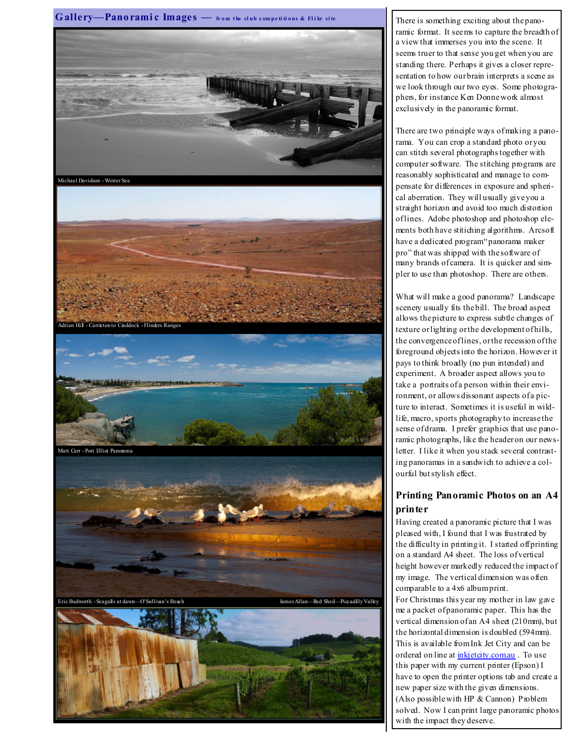

ramic format. It seems to capture the breadth of a view that immerses you into the scene. It seems truer to that sense you get when you are standing there. Perhaps it gives a closer representation to how our brain interprets a scene as we look through our two eyes. Some photographers, for instance Ken Donne work almost exclusively in the panoramic format.

There are two principle ways of making a panorama. You can crop a standard photo or you can stitch several photographs together with computer software. The stitching programs are reasonably sophisticated and manage to compensate for differences in exposure and spherical aberration. They will usually give you a straight horizon and avoid too much distortion of lines. Adobe photoshop and photoshop elements both have stitiching algorithms. Arcsoft have a dedicated program" panorama maker pro" that was shipped with the software of many brands of camera. It is quicker and simpler to use than photoshop. There are others.

What will make a good panorama? Landscape scenery usually fits the bill. The broad aspect allows the picture to express subtle changes of texture or lighting or the development of hills, the convergence of lines, or the recession of the foreground objects into the horizon. However it pays to think broadly (no pun intended) and experiment. A broader aspect allows you to take a portraits of a person within their environment, or allows dissonant aspects of a picture to interact. Sometimes it is useful in wildlife, macro, sports photography to increase the sense of drama. I prefer graphics that use panoramic photographs, like the header on our newsletter. I like it when you stack several contrasting panoramas in a sandwich to achieve a colourful but stylish effect.

# Printing Panoramic Photos on an A4 printer

Having created a panoramic picture that I was pleased with, I found that I was frustrated by the difficulty in printing it. I started off printing on a standard A4 sheet. The loss of vertical height however markedly reduced the impact of my image. The vertical dimension was often comparable to a 4x6 album print.

For Christmas this year my mother in law gave me a packet of panoramic paper. This has the vertical dimension of an A4 sheet (210mm), but the horizontal dimension is doubled (594mm). This is available from Ink Jet City and can be ordered on line at inkjetcity.com.au. To use this paper with my current printer (Epson) I have to open the printer options tab and create a new paper size with the given dimensions. (Also possible with HP & Cannon) Problem solved. Now I can print large panoramic photos with the impact they deserve.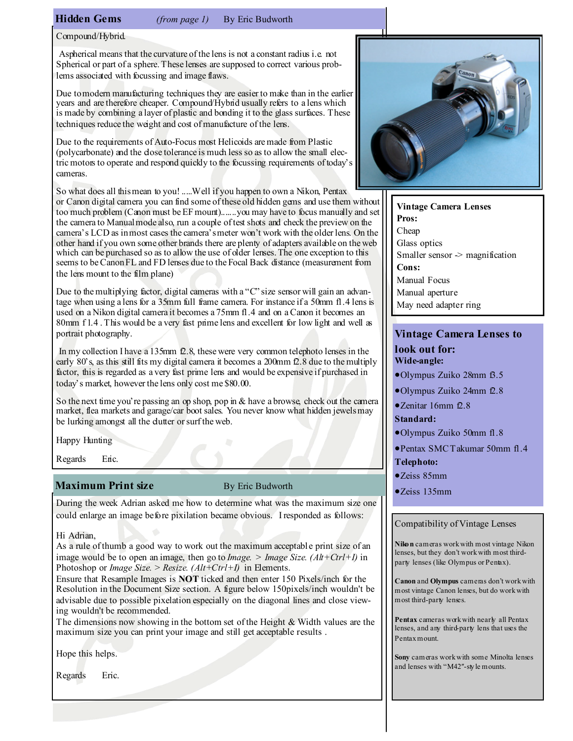Hidden Gems (from page 1) By Eric Budworth

Compound/Hybrid.

 Aspherical means that the curvature of the lens is not a constant radius i.e. not Spherical or part of a sphere. These lenses are supposed to correct various problems associated with focussing and image flaws.

Due to modern manufacturing techniques they are easier to make than in the earlier years and are therefore cheaper. Compound/Hybrid usually refers to a lens which is made by combining a layer of plastic and bonding it to the glass surfaces. These techniques reduce the weight and cost of manufacture of the lens.

Due to the requirements of Auto-Focus most Helicoids are made from Plastic (polycarbonate) and the close tolerance is much less so as to allow the small electric motors to operate and respond quickly to the focussing requirements of today's cameras.

So what does all this mean to you! .....Well if you happen to own a Nikon, Pentax or Canon digital camera you can find some of these old hidden gems and use them without too much problem (Canon must be EF mount).......you may have to focus manually and set the camera to Manual mode also, run a couple of test shots and check the preview on the camera's LCD as in most cases the camera's meter won't work with the older lens. On the other hand if you own some other brands there are plenty of adapters available on the web which can be purchased so as to allow the use of older lenses. The one exception to this seems to be Canon FL and FD lenses due to the Focal Back distance (measurement from the lens mount to the film plane)

Due to the multiplying factor, digital cameras with a "C" size sensor will gain an advantage when using a lens for a 35mm full frame camera. For instance if a 50mm f1.4 lens is used on a Nikon digital camera it becomes a 75mm f1.4 and on a Canon it becomes an 80mm f 1.4. This would be a very fast prime lens and excellent for low light and well as portrait photography.

 In my collection I have a 135mm f2.8, these were very common telephoto lenses in the early 80's, as this still fits my digital camera it becomes a 200mm f2.8 due to the multiply factor, this is regarded as a very fast prime lens and would be expensive if purchased in today's market, however the lens only cost me \$80.00.

So the next time you're passing an op shop, pop in & have a browse, check out the camera market, flea markets and garage/car boot sales. You never know what hidden jewels may be lurking amongst all the dutter or surf the web.

Happy Hunting

Regards Eric.

# Maximum Print size By Eric Budworth

During the week Adrian asked me how to determine what was the maximum size one could enlarge an image before pixilation became obvious. I responded as follows:

# Hi Adrian,

As a rule of thumb a good way to work out the maximum acceptable print size of an image would be to open an image, then go to *Image.* > *Image Size.*  $(Alt+Ctrl+I)$  in Photoshop or *Image Size.* > Resize.  $(Alt+Ctrl+I)$  in Elements.

Ensure that Resample Images is NOT ticked and then enter 150 Pixels/inch for the Resolution in the Document Size section. A figure below 150pixels/inch wouldn't be advisable due to possible pixelation especially on the diagonal lines and close viewing wouldn't be recommended.

The dimensions now showing in the bottom set of the Height & Width values are the maximum size you can print your image and still get acceptable results .

Hope this helps.

Regards Eric.



Vintage Camera Lenses Pros: Cheap Glass optics Smaller sensor  $\geq$  magnification Cons: Manual Focus Manual aperture May need adapter ring

# Vintage Camera Lenses to

## look out for: Wide-angle:

- •Olympus Zuiko 28mm f3.5
- •Olympus Zuiko 24mm f2.8
- •Zenitar 16mm f2.8

# Standard:

- •Olympus Zuiko 50mm f1.8
- •Pentax SMC Takumar 50mm f1.4
- Telephoto:
- •Zeiss 85mm
- •Zeiss 135mm

# Compatibility of Vintage Lenses

Niko n cameras work with most vintage Nikon lenses, but they don't work with most thirdparty lenses (like Olympus or Pentax).

Canon and Olympus cameras don't work with most vintage Canon lenses, but do work with most third-party lenses.

Pentax cameras work with nearly all Pentax lenses, and any third-party lens that uses the Pentax mount.

Sony cameras work with some Minolta lenses and lenses with "M42″-sty le mounts.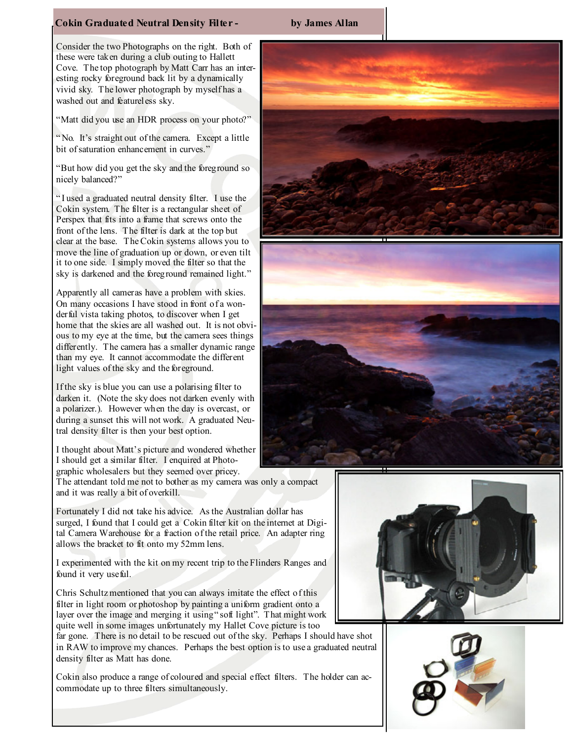# Cokin Graduated Neutral Density Filter - by James Allan

Consider the two Photographs on the right. Both of these were taken during a club outing to Hallett Cove. The top photograph by Matt Carr has an interesting rocky foreground back lit by a dynamically vivid sky. The lower photograph by myself has a washed out and featureless sky.

"Matt did you use an HDR process on your photo?"

" No. It's straight out of the camera. Except a little bit of saturation enhancement in curves."

"But how did you get the sky and the foreground so nicely balanced?"

" I used a graduated neutral density filter. I use the Cokin system. The filter is a rectangular sheet of Perspex that fits into a frame that screws onto the front of the lens. The filter is dark at the top but clear at the base. The Cokin systems allows you to move the line of graduation up or down, or even tilt it to one side. I simply moved the filter so that the sky is darkened and the foreground remained light."

Apparently all cameras have a problem with skies. On many occasions I have stood in front of a wonderful vista taking photos, to discover when I get home that the skies are all washed out. It is not obvious to my eye at the time, but the camera sees things differently. The camera has a smaller dynamic range than my eye. It cannot accommodate the different light values of the sky and the foreground.

If the sky is blue you can use a polarising filter to darken it. (Note the sky does not darken evenly with a polarizer.). However when the day is overcast, or during a sunset this will not work. A graduated Neutral density filter is then your best option.

I thought about Matt's picture and wondered whether I should get a similar filter. I enquired at Photographic wholesalers but they seemed over pricey.

The attendant told me not to bother as my camera was only a compact and it was really a bit of overkill.

Fortunately I did not take his advice. As the Australian dollar has surged, I found that I could get a Cokin filter kit on the internet at Digital Camera Warehouse for a fraction of the retail price. An adapter ring allows the bracket to fit onto my 52mm lens.

I experimented with the kit on my recent trip to the Flinders Ranges and found it very useful.

Chris Schultz mentioned that you can always imitate the effect of this filter in light room or photoshop by painting a uniform gradient onto a layer over the image and merging it using " soft light". That might work quite well in some images unfortunately my Hallet Cove picture is too

far gone. There is no detail to be rescued out of the sky. Perhaps I should have shot in RAW to improve my chances. Perhaps the best option is to use a graduated neutral density filter as Matt has done.

Cokin also produce a range of coloured and special effect filters. The holder can accommodate up to three filters simultaneously.